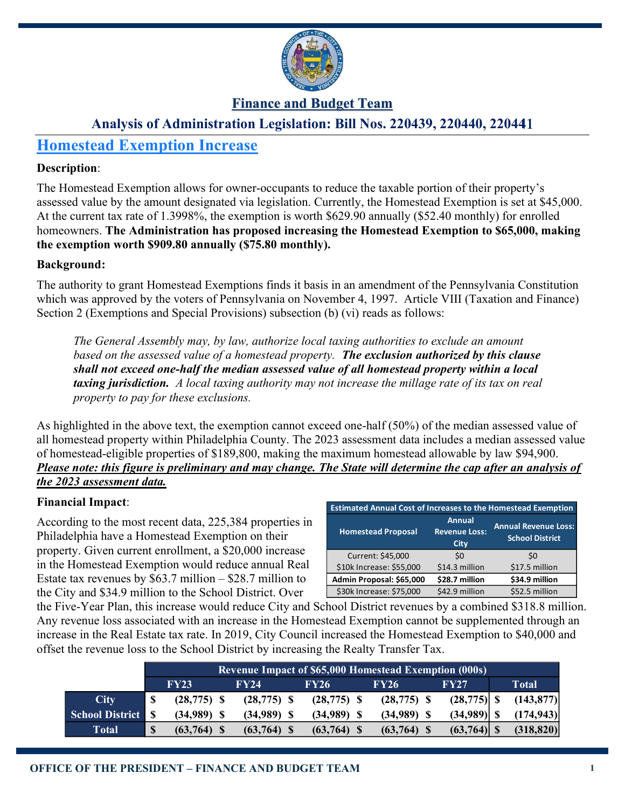

## Finance and Budget Team

## Analysis of Administration Legislation: Bill Nos. 220439, 220440, 220441

# Homestead Exemption Increase

### Description:

The Homestead Exemption allows for owner-occupants to reduce the taxable portion of their property's assessed value by the amount designated via legislation. Currently, the Homestead Exemption is set at \$45,000. At the current tax rate of 1.3998%, the exemption is worth \$629.90 annually (\$52.40 monthly) for enrolled homeowners. The Administration has proposed increasing the Homestead Exemption to \$65,000, making the exemption worth \$909.80 annually (\$75.80 monthly).

### Background:

The authority to grant Homestead Exemptions finds it basis in an amendment of the Pennsylvania Constitution which was approved by the voters of Pennsylvania on November 4, 1997. Article VIII (Taxation and Finance) Section 2 (Exemptions and Special Provisions) subsection (b) (vi) reads as follows:

The General Assembly may, by law, authorize local taxing authorities to exclude an amount based on the assessed value of a homestead property. The exclusion authorized by this clause shall not exceed one-half the median assessed value of all homestead property within a local taxing jurisdiction. A local taxing authority may not increase the millage rate of its tax on real property to pay for these exclusions.

As highlighted in the above text, the exemption cannot exceed one-half (50%) of the median assessed value of all homestead property within Philadelphia County. The 2023 assessment data includes a median assessed value of homestead-eligible properties of \$189,800, making the maximum homestead allowable by law \$94,900. Please note: this figure is preliminary and may change. The State will determine the cap after an analysis of the 2023 assessment data.

### Financial Impact:

According to the most recent data, 225,384 properties in Philadelphia have a Homestead Exemption on their property. Given current enrollment, a \$20,000 increase in the Homestead Exemption would reduce annual Real Estate tax revenues by  $$63.7$  million  $-$  \$28.7 million to the City and \$34.9 million to the School District. Over

| <b>Estimated Annual Cost of Increases to the Homestead Exemption</b> |                                               |                                                       |  |  |  |  |
|----------------------------------------------------------------------|-----------------------------------------------|-------------------------------------------------------|--|--|--|--|
| <b>Homestead Proposal</b>                                            | <b>Annual</b><br><b>Revenue Loss:</b><br>City | <b>Annual Revenue Loss:</b><br><b>School District</b> |  |  |  |  |
| Current: \$45,000                                                    | \$0                                           | \$0                                                   |  |  |  |  |
| \$10k Increase: \$55,000                                             | \$14.3 million                                | \$17.5 million                                        |  |  |  |  |
| Admin Proposal: \$65,000                                             | \$28.7 million                                | \$34.9 million                                        |  |  |  |  |
| \$30k Increase: \$75,000                                             | \$42.9 million                                | \$52.5 million                                        |  |  |  |  |

the Five-Year Plan, this increase would reduce City and School District revenues by a combined \$318.8 million. Any revenue loss associated with an increase in the Homestead Exemption cannot be supplemented through an increase in the Real Estate tax rate. In 2019, City Council increased the Homestead Exemption to \$40,000 and offset the revenue loss to the School District by increasing the Realty Transfer Tax.

|                          | <b>Revenue Impact of \$65,000 Homestead Exemption (000s)</b> |                |  |                |  |               |  |               |                |            |
|--------------------------|--------------------------------------------------------------|----------------|--|----------------|--|---------------|--|---------------|----------------|------------|
|                          |                                                              | FY23           |  | FY24           |  | <b>FY26</b>   |  | <b>FY26</b>   | FY27           | Total      |
| City                     | -S                                                           | $(28, 775)$ \$ |  | $(28, 775)$ \$ |  | $(28,775)$ \$ |  | $(28,775)$ \$ | $(28, 775)$ \$ | (143, 877) |
| <b>School District S</b> |                                                              | (34,989)       |  | $(34,989)$ \$  |  | (34,989)      |  | $(34,989)$ \$ |                | (174, 943) |
| Total                    | <sup>S</sup>                                                 | (63, 764)      |  | $(63,764)$ \$  |  | $(63,764)$ \$ |  | $(63,764)$ \$ | $(63,764)$ \$  | (318, 820) |